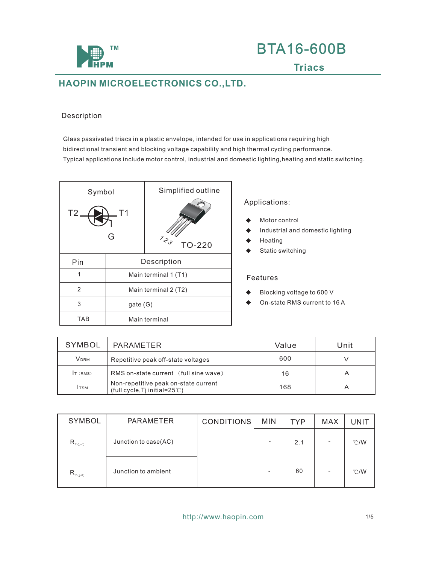

#### Description

Glass passivated triacs in a plastic envelope, intended for use in applications requiring high bidirectional transient and blocking voltage capability and high thermal cycling performance. Typical applications include motor control, industrial and domestic lighting,heating and static switching.

| Symbol<br>T2.  | T <sub>1</sub><br>G | Simplified outline<br>$z_{\mathcal{S}}$<br><b>TO-220</b> |  |  |
|----------------|---------------------|----------------------------------------------------------|--|--|
| Pin            |                     | Description                                              |  |  |
| 1              |                     | Main terminal 1 (T1)                                     |  |  |
| $\overline{2}$ |                     | Main terminal 2 (T2)                                     |  |  |
| 3              | gate (G)            |                                                          |  |  |
| TAB            | Main terminal       |                                                          |  |  |

#### Applications:

- Motor control
- Industrial and domestic lighting
- Heating
- Static switching

#### Features

- Blocking voltage to 600 V
- On-state RMS current to 16 A

| SYMBOL      | PARAMETER                                                                        | Value | Unit |
|-------------|----------------------------------------------------------------------------------|-------|------|
| <b>VDRM</b> | Repetitive peak off-state voltages                                               | 600   |      |
| $T$ (RMS)   | RMS on-state current (full sine wave)                                            | 16    | A    |
| <b>ITSM</b> | Non-repetitive peak on-state current<br>(full cycle, Tj initial= $25^{\circ}$ C) | 168   | A    |

| SYMBOL        | <b>PARAMETER</b>     | <b>CONDITIONS</b> | <b>MIN</b> | <b>TYP</b> | <b>MAX</b> | UNIT           |
|---------------|----------------------|-------------------|------------|------------|------------|----------------|
| $R_{th(j-c)}$ | Junction to case(AC) |                   |            | 2.1        |            | C/W            |
| $R_{th(j-a)}$ | Junction to ambient  |                   |            | 60         |            | $^{\circ}$ C/W |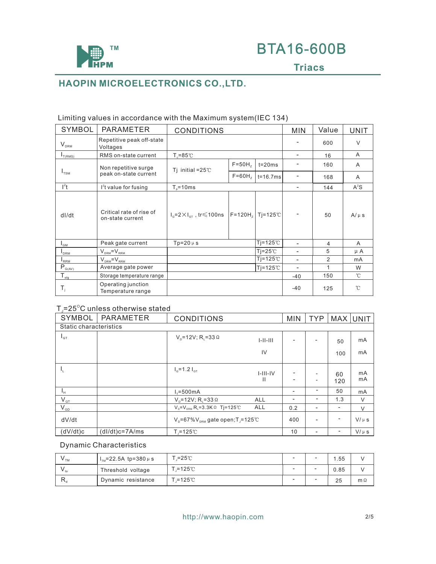

| <b>SYMBOL</b>                                                   | PARAMETER                                    | <b>CONDITIONS</b>                                                          | <b>MIN</b>        | Value              | <b>UNIT</b>              |               |              |
|-----------------------------------------------------------------|----------------------------------------------|----------------------------------------------------------------------------|-------------------|--------------------|--------------------------|---------------|--------------|
| $\mathsf{V}_{\text{\tiny{DRM}}}$                                | Repetitive peak off-state<br>Voltages        |                                                                            |                   | 600                | $\vee$                   |               |              |
| $I_{T(RMS)}$                                                    | RMS on-state current                         | $T_{c} = 85^{\circ}$ C                                                     | ۰                 | 16                 | A                        |               |              |
|                                                                 | Non repetitive surge                         | Ti initial = $25^\circ$ C                                                  | $F=50Hz$          | $t = 20ms$         |                          | 160           | A            |
| $I_{TSM}$                                                       | peak on-state current                        |                                                                            | $F=60H2$          | $t = 16.7ms$       |                          | 168           | A            |
| $l^2t$                                                          | $l2t$ value for fusing                       | $T_{\text{s}} = 10 \text{ms}$                                              |                   | ۰                  | 144                      | $A^2S$        |              |
| dl/dt                                                           | Critical rate of rise of<br>on-state current | $I_{\rm g} = 2 \times I_{\rm GT}$ , tr $\leq 100$ ns   F=120H <sub>z</sub> |                   | $Ti=125^{\circ}$   |                          | 50            | $A/\mu s$    |
| $I_{GM}$                                                        | Peak gate current                            | Tp=20 $\mu$ s                                                              | $Ti=125^{\circ}C$ |                    | $\overline{\phantom{a}}$ | 4             | A            |
| I <sub>DRM</sub>                                                | $V_{DBM} = V_{BBM}$                          |                                                                            |                   | $Ti=25^{\circ}C$   | ۰                        | 5             | $\mu$ A      |
| $I_{RRM}$                                                       | $V_{DRM} = V_{RRM}$                          |                                                                            |                   | $Ti=125^{\circ}$ C | ۳                        | $\mathcal{P}$ | mA           |
| $\bar{\mathsf{P}}_{\scriptscriptstyle \mathsf{G}(\mathsf{AV})}$ | Average gate power                           |                                                                            |                   | $Ti=125^{\circ}$   | $\blacksquare$           | 1             | W            |
| $T_{\underline{stg}}$                                           | Storage temperature range                    |                                                                            |                   |                    | $-40$                    | 150           | $^{\circ}$ C |
| $T_i$                                                           | Operating junction<br>Temperature range      |                                                                            |                   |                    | $-40$                    | 125           | 'n           |

### Limiting values in accordance with the Maximum system(IEC 134)

### ${\sf T}_\sf J$ =25 $^\circ$ C unless otherwise stated

| <b>SYMBOL</b>          | <b>PARAMETER</b>   | <b>CONDITIONS</b>                           | <b>MIN</b>      | <b>TYP</b> |   | MAX UNIT  |           |  |
|------------------------|--------------------|---------------------------------------------|-----------------|------------|---|-----------|-----------|--|
| Static characteristics |                    |                                             |                 |            |   |           |           |  |
| $I_{GT}$               |                    | $V_p = 12V$ ; R <sub>1</sub> = 33 Ω         | $1 - 11 - 111$  |            |   | 50        | mA        |  |
|                        |                    |                                             | IV              |            |   | 100       | mA        |  |
| ц.                     |                    | $I_{\text{G}} = 1.2 I_{\text{G}}$           | $I-III-IV$<br>Ш |            | - | 60<br>120 | mA<br>mA  |  |
| Ч.                     |                    | $I_r = 500mA$                               |                 |            | - | 50        | mA        |  |
| $V_{\text{\tiny GT}}$  |                    | $V_{p} = 12V$ ; R <sub>1</sub> =33 Ω        | <b>ALL</b>      |            |   | 1.3       | V         |  |
| $V_{GD}$               |                    | $V_p = V_{pem} R_1 = 3.3 K \Omega$ Tj=125°C | ALL             | 0.2        | - |           | $\vee$    |  |
| dV/dt                  |                    | $V_p = 67\%V_{nem}$ gate open; T = 125°C    |                 | 400        | - |           | $V/\mu s$ |  |
| (dV/dt)c               | $(dI/dt)c = 7A/ms$ | $T = 125^{\circ}$                           |                 | 10         | - | -         | $V/\mu s$ |  |

### Dynamic Characteristics

| ∨ ⊤м | $1_{\text{m}}$ =22.5A tp=380 µ s | $T = 25^{\circ}$    | $\overline{\phantom{a}}$ | $\overline{\phantom{a}}$ | .55  |            |
|------|----------------------------------|---------------------|--------------------------|--------------------------|------|------------|
| ' to | Threshold voltage                | $T = 125^{\circ}$ C | $\overline{\phantom{a}}$ | $\sim$                   | 0.85 |            |
|      | Dynamic resistance               | ਾ =125℃             | $\overline{\phantom{a}}$ | $\sim$                   | 25   | $m \Omega$ |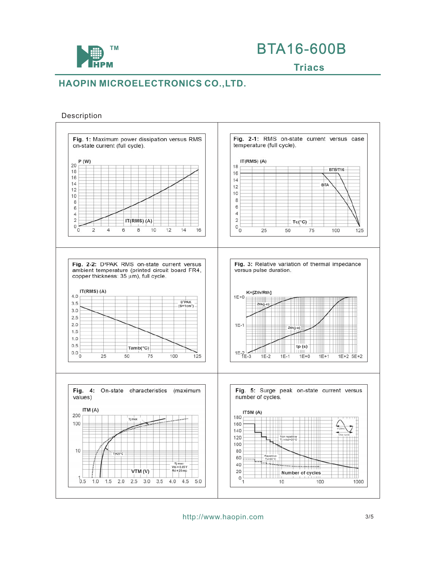

#### Description



http://www.haopin.com 3/5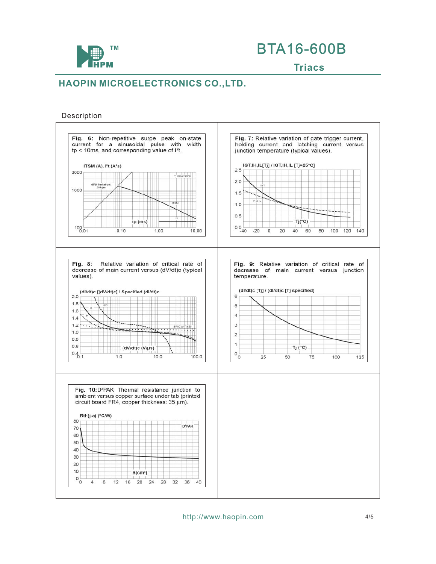

#### Description